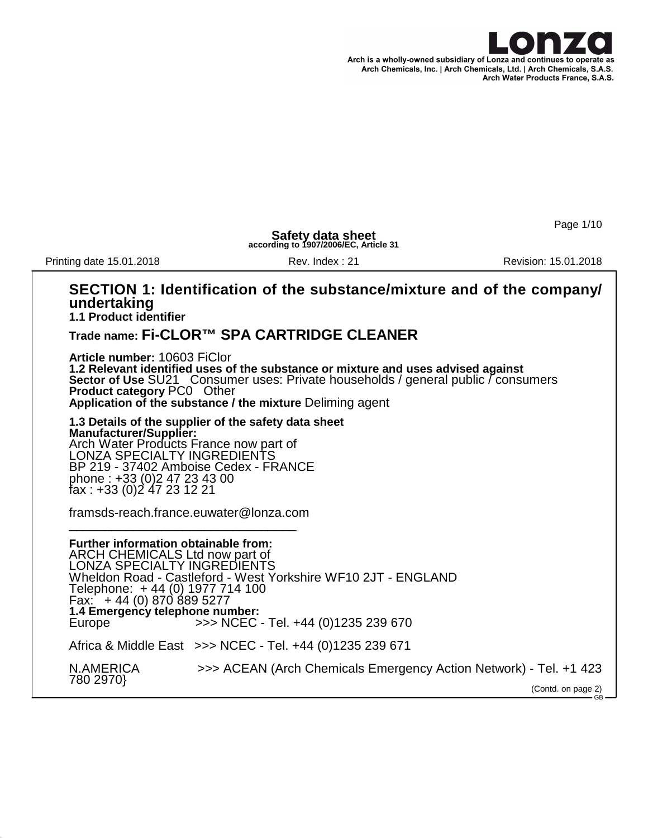

Page 1/10

 $CR$ 

**Safety data sheet according to 1907/2006/EC, Article 31**

Printing date 15.01.2018 **Rev. Index : 21** Rev. Index : 21 Revision: 15.01.2018

## **SECTION 1: Identification of the substance/mixture and of the company/ undertaking**

**1.1 Product identifier**

### **Trade name: Fi-CLOR™ SPA CARTRIDGE CLEANER**

**Article number:** 10603 FiClor **1.2 Relevant identified uses of the substance or mixture and uses advised against Sector of Use** SU21 Consumer uses: Private households / general public / consumers **Product category** PC0 Other **Application of the substance / the mixture** Deliming agent

**1.3 Details of the supplier of the safety data sheet Manufacturer/Supplier:** Arch Water Products France now part of LONZA SPECIALTY INGREDIENTS BP 219 - 37402 Amboise Cedex - FRANCE phone : +33 (0)2 47 23 43 00 fax : +33 (0)2 47 23 12 21

framsds-reach.france.euwater@lonza.com \_\_\_\_\_\_\_\_\_\_\_\_\_\_\_\_\_\_\_\_\_\_\_\_\_\_\_\_\_\_\_\_

**Further information obtainable from:** ARCH CHEMICALS Ltd now part of LONZA SPECIALTY INGREDIENTS Wheldon Road - Castleford - West Yorkshire WF10 2JT - ENGLAND Telephone: + 44 (0) 1977 714 100 Fax: + 44 (0) 870 889 5277 **1.4 Emergency telephone number:** Europe >>> NCEC - Tel. +44 (0)1235 239 670 Africa & Middle East >>> NCEC - Tel. +44 (0)1235 239 671

| >>> ACEAN (Arch Chemicals Emergency Action Network) - Tel. +1 423<br>N.AMERICA |                    |
|--------------------------------------------------------------------------------|--------------------|
|                                                                                | (Contd. on page 2) |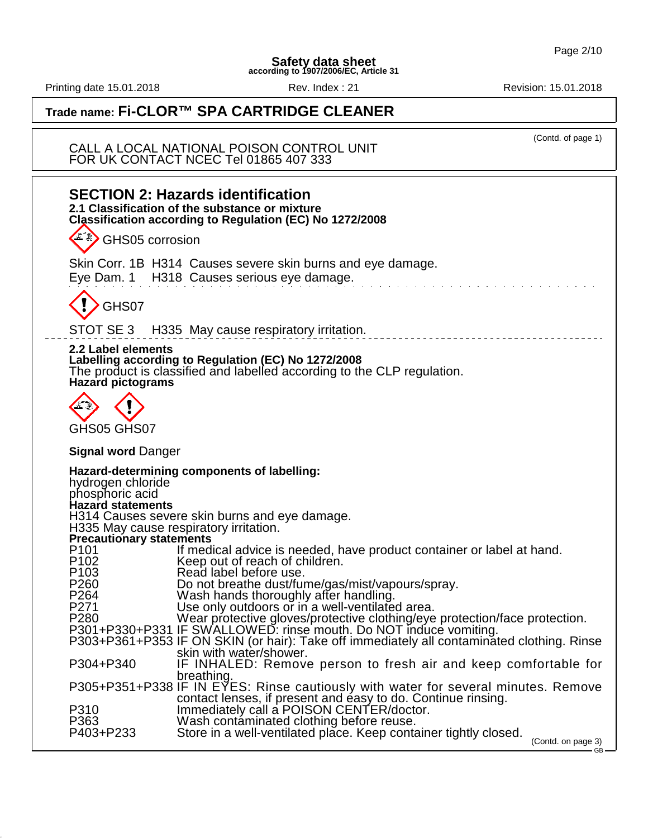Printing date 15.01.2018 **Rev. Index : 21** Rev. Index : 21 Revision: 15.01.2018

(Contd. of page 1)

 $-$ <sub>GB</sub> $-$ 

## **Trade name: Fi-CLOR™ SPA CARTRIDGE CLEANER**

CALL A LOCAL NATIONAL POISON CONTROL UNIT FOR UK CONTACT NCEC Tel 01865 407 333

| <b>SECTION 2: Hazards identification</b><br>2.1 Classification of the substance or mixture<br>Classification according to Regulation (EC) No 1272/2008<br>GHS05 corrosion                                                                                                                                                                   |                    |
|---------------------------------------------------------------------------------------------------------------------------------------------------------------------------------------------------------------------------------------------------------------------------------------------------------------------------------------------|--------------------|
|                                                                                                                                                                                                                                                                                                                                             |                    |
| Skin Corr. 1B H314 Causes severe skin burns and eye damage.<br>Eye Dam. 1 H318 Causes serious eye damage.                                                                                                                                                                                                                                   |                    |
| GHS07                                                                                                                                                                                                                                                                                                                                       |                    |
| STOT SE 3 H335 May cause respiratory irritation.                                                                                                                                                                                                                                                                                            |                    |
| 2.2 Label elements<br>Labelling according to Regulation (EC) No 1272/2008<br>The product is classified and labelled according to the CLP regulation.<br><b>Hazard pictograms</b>                                                                                                                                                            |                    |
| GHS05 GHS07                                                                                                                                                                                                                                                                                                                                 |                    |
|                                                                                                                                                                                                                                                                                                                                             |                    |
| <b>Signal word Danger</b>                                                                                                                                                                                                                                                                                                                   |                    |
| Hazard-determining components of labelling:<br>hydrogen chloride<br>phosphoric acid<br><b>Hazard statements</b><br>H314 Causes severe skin burns and eye damage.                                                                                                                                                                            |                    |
| H335 May cause respiratory irritation.<br><b>Precautionary statements</b>                                                                                                                                                                                                                                                                   |                    |
| P <sub>101</sub><br>If medical advice is needed, have product container or label at hand.<br>P102<br>P103<br>Keep out of reach of children.<br>Read label before use.<br>P <sub>260</sub><br>Do not breathe dust/fume/gas/mist/vapours/spray.<br>P264                                                                                       |                    |
| Wash hands thoroughly after handling.<br>Use only outdoors or in a well-ventilated area.<br>P271<br>P280<br>Wear protective gloves/protective clothing/eye protection/face protection.<br>P301+P330+P331 IF SWALLOWED: rinse mouth. Do NOT induce vomiting.<br>P303+P361+P353 IF ON SKIN (or hair): Take off immediately all contaminated c |                    |
| skin with water/shower.<br>P304+P340<br>IF INHALED: Remove person to fresh air and keep comfortable for                                                                                                                                                                                                                                     |                    |
| breathing.<br>P305+P351+P338 IF IN EYES: Rinse cautiously with water for several minutes. Remove                                                                                                                                                                                                                                            |                    |
| contact lenses, if present and easy to do. Continue rinsing.<br>P310<br>Immediately call a POISON CENTER/doctor.<br>P363<br>Wash contaminated clothing before reuse.<br>P403+P233<br>Store in a well-ventilated place. Keep container tightly closed.                                                                                       | (Contd. on page 3) |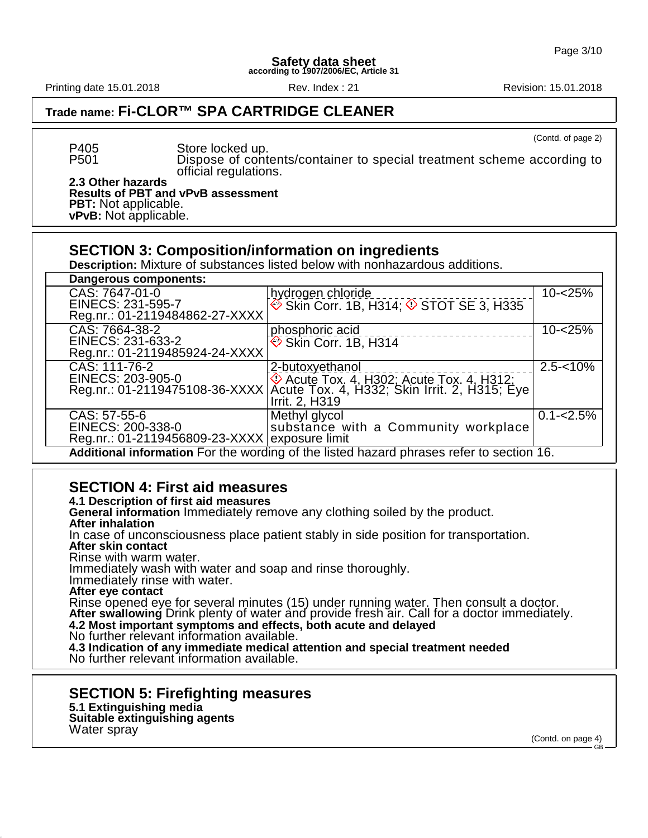Printing date 15.01.2018 **Rev. Index : 21** Rev. Index : 21 Revision: 15.01.2018

(Contd. of page 2)

## **Trade name: Fi-CLOR™ SPA CARTRIDGE CLEANER**

P405 Store locked up. Dispose of contents/container to special treatment scheme according to official regulations.

**2.3 Other hazards Results of PBT and vPvB assessment PBT:** Not applicable. **vPvB:** Not applicable.

### **SECTION 3: Composition/information on ingredients**

**Description:** Mixture of substances listed below with nonhazardous additions.

| <b>Dangerous components:</b>                  |                                                                                                                                                                            |               |
|-----------------------------------------------|----------------------------------------------------------------------------------------------------------------------------------------------------------------------------|---------------|
| CAS: 7647-01-0                                | hydrogen chloride                                                                                                                                                          | $10 - 25%$    |
| EINECS: 231-595-7                             | $\circledcirc$ Skin Corr. 1B, H314; $\circledcirc$ STOT SE 3, H335                                                                                                         |               |
| Reg.nr.: 01-2119484862-27-XXXX                |                                                                                                                                                                            |               |
| CAS: 7664-38-2                                | phosphoric acid                                                                                                                                                            | $10 - 25%$    |
| EINECS: 231-633-2                             | Skin Corr. 1B, H314                                                                                                                                                        |               |
| Reg.nr.: 01-2119485924-24-XXXX                |                                                                                                                                                                            |               |
| CAS: 111-76-2                                 | 2-butoxyethanol                                                                                                                                                            | $2.5 - 10\%$  |
|                                               | EINECS: 203-905-0<br>Reg.nr.: 01-2119475108-36-XXXX Acute Tox. 4, H302; Acute Tox. 4, H312;<br>Reg.nr.: 01-2119475108-36-XXXX Acute Tox. 4, H332; Skin Irrit. 2, H315; Eye |               |
|                                               |                                                                                                                                                                            |               |
|                                               | Irrit. 2, H319                                                                                                                                                             |               |
| CAS: 57-55-6                                  | Methyl glycol                                                                                                                                                              | $0.1 - 2.5\%$ |
| EINECS: 200-338-0                             | substance with a Community workplace                                                                                                                                       |               |
| Reg.nr.: 01-2119456809-23-XXXX exposure limit |                                                                                                                                                                            |               |
|                                               | Additional information For the wording of the listed hazard phrases refer to section 16.                                                                                   |               |

## **SECTION 4: First aid measures**

**4.1 Description of first aid measures**

**General information** Immediately remove any clothing soiled by the product.

**After inhalation**

In case of unconsciousness place patient stably in side position for transportation.

**After skin contact**

Rinse with warm water.

Immediately wash with water and soap and rinse thoroughly.

Immediately rinse with water.

**After eye contact**

Rinse opened eye for several minutes (15) under running water. Then consult a doctor. After swallowing Drink plenty of water and provide fresh air. Call for a doctor immediately.

**4.2 Most important symptoms and effects, both acute and delayed**

No further relevant information available.

**4.3 Indication of any immediate medical attention and special treatment needed** No further relevant information available.

### **SECTION 5: Firefighting measures**

**5.1 Extinguishing media**

**Suitable extinguishing agents** Water spray

(Contd. on page 4) GB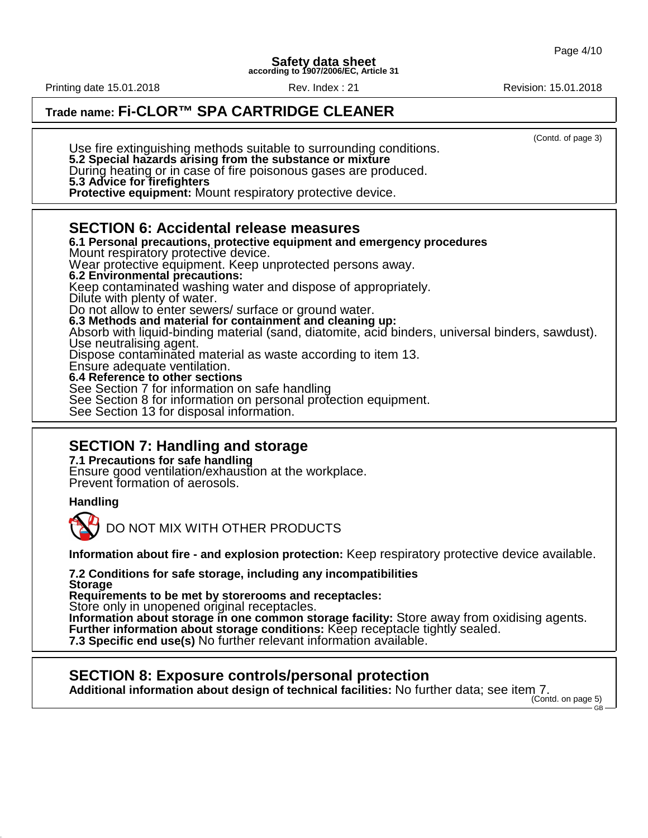## **Trade name: Fi-CLOR™ SPA CARTRIDGE CLEANER**

(Contd. of page 3) Use fire extinguishing methods suitable to surrounding conditions. **5.2 Special hazards arising from the substance or mixture** During heating or in case of fire poisonous gases are produced. **5.3 Advice for firefighters Protective equipment:** Mount respiratory protective device. **SECTION 6: Accidental release measures 6.1 Personal precautions, protective equipment and emergency procedures** Mount respiratory protective device. Wear protective equipment. Keep unprotected persons away. **6.2 Environmental precautions:** Keep contaminated washing water and dispose of appropriately. Dilute with plenty of water. Do not allow to enter sewers/ surface or ground water. **6.3 Methods and material for containment and cleaning up:** Absorb with liquid-binding material (sand, diatomite, acid binders, universal binders, sawdust). Use neutralising agent. Dispose contaminated material as waste according to item 13. Ensure adequate ventilation. **6.4 Reference to other sections** See Section 7 for information on safe handling See Section 8 for information on personal protection equipment. See Section 13 for disposal information.

## **SECTION 7: Handling and storage**

**7.1 Precautions for safe handling** Ensure good ventilation/exhaustion at the workplace. Prevent formation of aerosols.

### **Handling**

DO NOT MIX WITH OTHER PRODUCTS

**Information about fire - and explosion protection:** Keep respiratory protective device available.

**7.2 Conditions for safe storage, including any incompatibilities Storage**

**Requirements to be met by storerooms and receptacles:**

Store only in unopened original receptacles.

**Information about storage in one common storage facility:** Store away from oxidising agents. **Further information about storage conditions:** Keep receptacle tightly sealed. **7.3 Specific end use(s)** No further relevant information available.

## **SECTION 8: Exposure controls/personal protection**

**Additional information about design of technical facilities:** No further data; see item 7.

(Contd. on page 5) GB

Printing date 15.01.2018 **Rev. Index : 21** Rev. Index : 21 Revision: 15.01.2018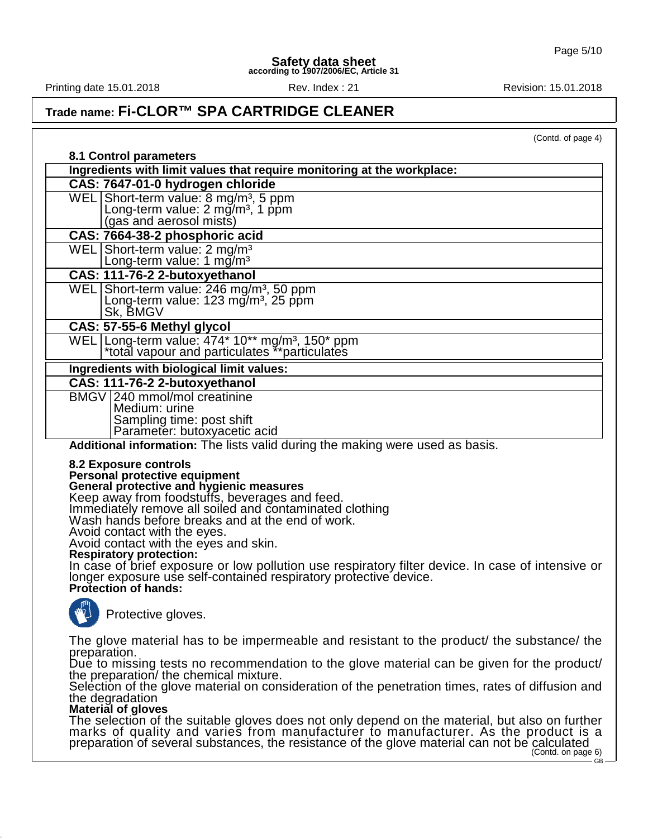Printing date 15.01.2018 **Rev. Index : 21** Rev. Index : 21 Revision: 15.01.2018

## **Trade name: Fi-CLOR™ SPA CARTRIDGE CLEANER**

(Contd. of page 4)

| 8.1 Control parameters                                                                                                                                                                                                                                                                                                                                                                                                                                                                                                                                                                  |
|-----------------------------------------------------------------------------------------------------------------------------------------------------------------------------------------------------------------------------------------------------------------------------------------------------------------------------------------------------------------------------------------------------------------------------------------------------------------------------------------------------------------------------------------------------------------------------------------|
| Ingredients with limit values that require monitoring at the workplace:                                                                                                                                                                                                                                                                                                                                                                                                                                                                                                                 |
| CAS: 7647-01-0 hydrogen chloride                                                                                                                                                                                                                                                                                                                                                                                                                                                                                                                                                        |
| WEL Short-term value: 8 mg/m <sup>3</sup> , 5 ppm                                                                                                                                                                                                                                                                                                                                                                                                                                                                                                                                       |
| Long-term value: 2 mg/m <sup>3</sup> , 1 ppm<br>(gas and aerosol mists)                                                                                                                                                                                                                                                                                                                                                                                                                                                                                                                 |
| CAS: 7664-38-2 phosphoric acid                                                                                                                                                                                                                                                                                                                                                                                                                                                                                                                                                          |
| WEL Short-term value: $2 \text{ mg/m}^3$                                                                                                                                                                                                                                                                                                                                                                                                                                                                                                                                                |
| Long-term value: 1 $mg/m3$                                                                                                                                                                                                                                                                                                                                                                                                                                                                                                                                                              |
| CAS: 111-76-2 2-butoxyethanol                                                                                                                                                                                                                                                                                                                                                                                                                                                                                                                                                           |
| WEL Short-term value: 246 mg/m <sup>3</sup> , 50 ppm<br>Long-term value: 123 mg/m <sup>3</sup> , 25 ppm                                                                                                                                                                                                                                                                                                                                                                                                                                                                                 |
| Sk, BMGV                                                                                                                                                                                                                                                                                                                                                                                                                                                                                                                                                                                |
| CAS: 57-55-6 Methyl glycol                                                                                                                                                                                                                                                                                                                                                                                                                                                                                                                                                              |
| WEL   Long-term value: 474* 10** mg/m <sup>3</sup> , 150* ppm<br>*total vapour and particulates **particulates                                                                                                                                                                                                                                                                                                                                                                                                                                                                          |
| Ingredients with biological limit values:                                                                                                                                                                                                                                                                                                                                                                                                                                                                                                                                               |
| CAS: 111-76-2 2-butoxyethanol                                                                                                                                                                                                                                                                                                                                                                                                                                                                                                                                                           |
| BMGV 240 mmol/mol creatinine<br>Medium: urine                                                                                                                                                                                                                                                                                                                                                                                                                                                                                                                                           |
| Sampling time: post shift                                                                                                                                                                                                                                                                                                                                                                                                                                                                                                                                                               |
| Parameter: butoxyacetic acid                                                                                                                                                                                                                                                                                                                                                                                                                                                                                                                                                            |
| Additional information: The lists valid during the making were used as basis.                                                                                                                                                                                                                                                                                                                                                                                                                                                                                                           |
| 8.2 Exposure controls<br>Personal protective equipment<br>General protective and hygienic measures<br>Keep away from foodstuffs, beverages and feed.<br>Immediately remove all soiled and contaminated clothing<br>Wash hands before breaks and at the end of work.<br>Avoid contact with the eyes.<br>Avoid contact with the eyes and skin.<br><b>Respiratory protection:</b><br>In case of brief exposure or low pollution use respiratory filter device. In case of intensive or<br>longer exposure use self-contained respiratory protective device.<br><b>Protection of hands:</b> |
| Protective gloves.                                                                                                                                                                                                                                                                                                                                                                                                                                                                                                                                                                      |
| The glove material has to be impermeable and resistant to the product the substance the<br>preparation.                                                                                                                                                                                                                                                                                                                                                                                                                                                                                 |
| Due to missing tests no recommendation to the glove material can be given for the product/<br>the preparation/ the chemical mixture.                                                                                                                                                                                                                                                                                                                                                                                                                                                    |
| Selection of the glove material on consideration of the penetration times, rates of diffusion and<br>the degradation<br>Material of gloves                                                                                                                                                                                                                                                                                                                                                                                                                                              |
| The selection of the suitable gloves does not only depend on the material, but also on further<br>marks of quality and varies from manufacturer to manufacturer. As the product is a<br>preparation of several substances, the resistance of the glove material can not be calculated<br>(Contd. on page 6)<br>$GB -$                                                                                                                                                                                                                                                                   |
|                                                                                                                                                                                                                                                                                                                                                                                                                                                                                                                                                                                         |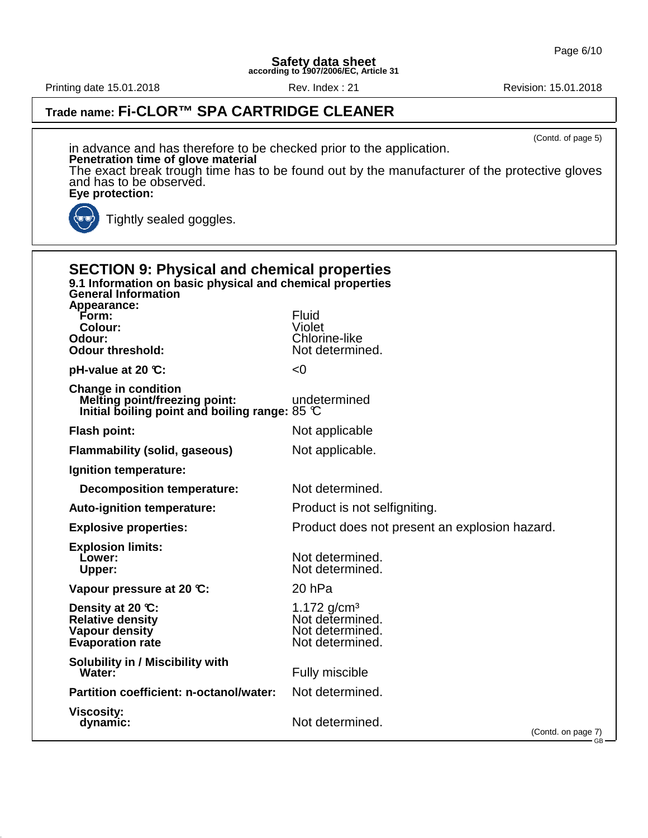Printing date 15.01.2018 **Rev. Index : 21** Rev. Index : 21 Revision: 15.01.2018

## **Trade name: Fi-CLOR™ SPA CARTRIDGE CLEANER**

(Contd. of page 5) in advance and has therefore to be checked prior to the application. **Penetration time of glove material** The exact break trough time has to be found out by the manufacturer of the protective gloves and has to be observĕd. **Eye protection:** (ज Tightly sealed goggles.

| <b>SECTION 9: Physical and chemical properties</b><br>9.1 Information on basic physical and chemical properties<br><b>General Information</b> |                                                                                  |
|-----------------------------------------------------------------------------------------------------------------------------------------------|----------------------------------------------------------------------------------|
| Appearance:<br>Form:<br><b>Colour:</b><br>Odour:<br><b>Odour threshold:</b>                                                                   | <b>Fluid</b><br>Violet<br><b>Chlorine-like</b><br>Not determined.                |
| pH-value at 20 $\mathbb{C}$ :                                                                                                                 | < 0                                                                              |
| <b>Change in condition</b><br><b>Melting point/freezing point:</b><br>Initial boiling point and boiling range: 85 $\mathbb C$                 | undetermined                                                                     |
| Flash point:                                                                                                                                  | Not applicable                                                                   |
| <b>Flammability (solid, gaseous)</b>                                                                                                          | Not applicable.                                                                  |
| Ignition temperature:                                                                                                                         |                                                                                  |
| <b>Decomposition temperature:</b>                                                                                                             | Not determined.                                                                  |
| <b>Auto-ignition temperature:</b>                                                                                                             | Product is not selfigniting.                                                     |
| <b>Explosive properties:</b>                                                                                                                  | Product does not present an explosion hazard.                                    |
| <b>Explosion limits:</b><br>Lower:<br>Upper:                                                                                                  | Not determined.<br>Not determined.                                               |
| Vapour pressure at 20 °C:                                                                                                                     | 20 hPa                                                                           |
| Density at 20 $\mathbb{C}$ :<br><b>Relative density</b><br>Vapour density<br><b>Evaporation rate</b>                                          | 1.172 g/cm <sup>3</sup><br>Not determined.<br>Not determined.<br>Not determined. |
| <b>Solubility in / Miscibility with</b><br>Water:                                                                                             | Fully miscible                                                                   |
| Partition coefficient: n-octanol/water:                                                                                                       | Not determined.                                                                  |
| <b>Viscosity:</b><br>dynamic:                                                                                                                 | Not determined.<br>(Contd. on page 7)<br>$-$ GB $-$                              |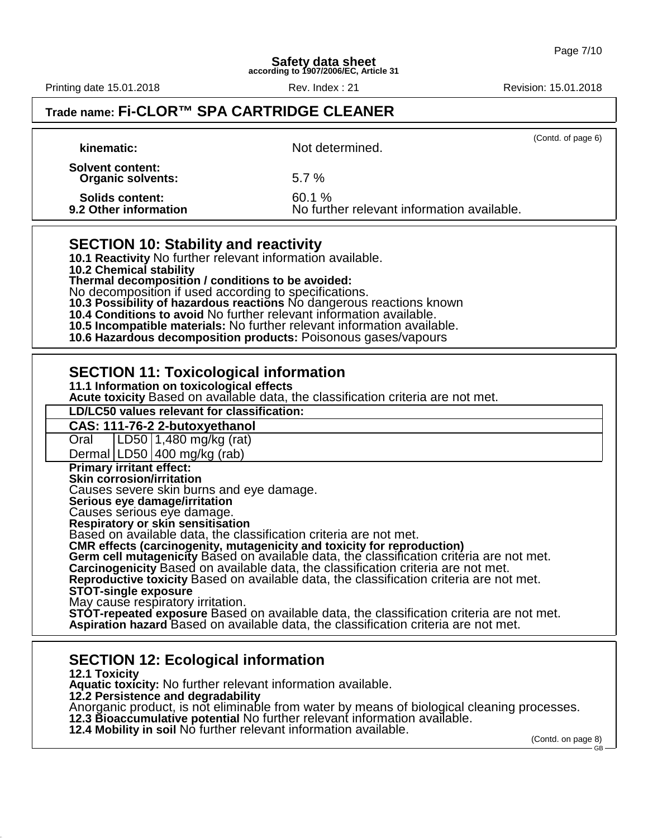Printing date 15.01.2018 **Rev. Index : 21** Rev. Index : 21 Revision: 15.01.2018

## **Trade name: Fi-CLOR™ SPA CARTRIDGE CLEANER**

| kinematic: \                                        | (Contd. of page 6)<br>Not determined.                |  |
|-----------------------------------------------------|------------------------------------------------------|--|
| <b>Solvent content:</b><br><b>Organic solvents:</b> | $5.7\%$                                              |  |
| <b>Solids content:</b><br>9.2 Other information     | 60.1 %<br>No further relevant information available. |  |

### **SECTION 10: Stability and reactivity**

**10.1 Reactivity** No further relevant information available. **10.2 Chemical stability Thermal decomposition / conditions to be avoided:** No decomposition if used according to specifications. **10.3 Possibility of hazardous reactions** No dangerous reactions known **10.4 Conditions to avoid** No further relevant information available. **10.5 Incompatible materials:** No further relevant information available.

**10.6 Hazardous decomposition products:** Poisonous gases/vapours

### **SECTION 11: Toxicological information**

**11.1 Information on toxicological effects**

**Acute toxicity** Based on available data, the classification criteria are not met.

**LD/LC50 values relevant for classification:**

**CAS: 111-76-2 2-butoxyethanol**

Oral LD50 1,480 mg/kg (rat)

Dermal  $|LD50|400$  mg/kg (rab)

**Primary irritant effect:**

**Skin corrosion/irritation**

Causes severe skin burns and eye damage.

**Serious eye damage/irritation**

Causes serious eye damage.

**Respiratory or skin sensitisation**

Based on available data, the classification criteria are not met.

**CMR effects (carcinogenity, mutagenicity and toxicity for reproduction)**

Germ cell mutagenicity Based on available data, the classification criteria are not met.

**Carcinogenicity** Based on available data, the classification criteria are not met.

**Reproductive toxicity** Based on available data, the classification criteria are not met. **STOT-single exposure**

May cause respiratory irritation.

**STOT-repeated exposure** Based on available data, the classification criteria are not met. **Aspiration hazard** Based on available data, the classification criteria are not met.

## **SECTION 12: Ecological information**

**12.1 Toxicity Aquatic toxicity:** No further relevant information available. **12.2 Persistence and degradability** Anorganic product, is not eliminable from water by means of biological cleaning processes. **12.3 Bioaccumulative potential** No further relevant information available. **12.4 Mobility in soil** No further relevant information available.

(Contd. on page 8) GB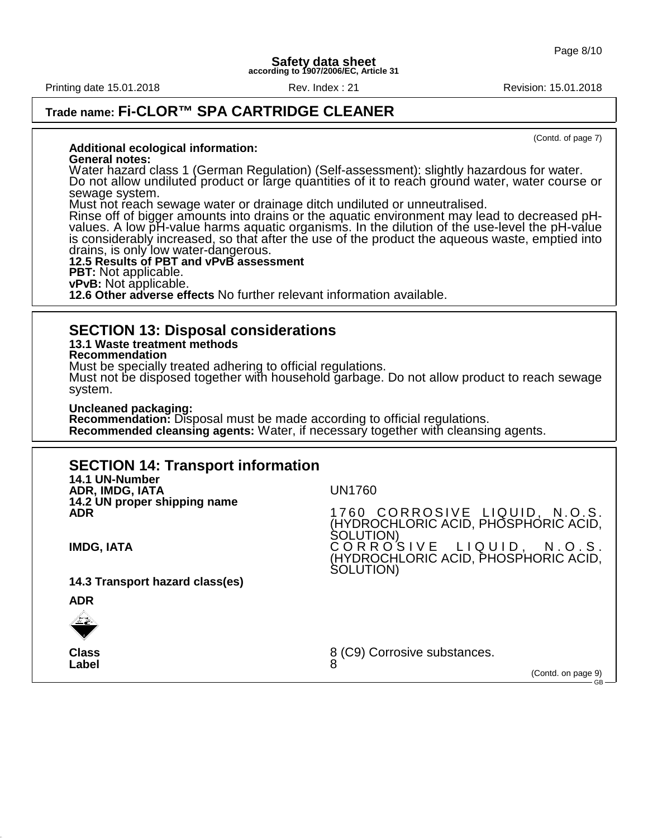Printing date 15.01.2018 **Rev. Index : 21** Rev. Index : 21 Revision: 15.01.2018

## **Trade name: Fi-CLOR™ SPA CARTRIDGE CLEANER**

(Contd. of page 7)

GB

#### **Additional ecological information:**

### **General notes:**

Water hazard class 1 (German Regulation) (Self-assessment): slightly hazardous for water. Do not allow undiluted product or large quantities of it to reach ground water, water course or sewage system.

Must not reach sewage water or drainage ditch undiluted or unneutralised.

Rinse off of bigger amounts into drains or the aquatic environment may lead to decreased pHvalues. A low pH-value harms aquatic organisms. In the dilution of the use-level the pH-value is considerably increased, so that after the use of the product the aqueous waste, emptied into drains, is only low water-dangerous.

#### **12.5 Results of PBT and vPvB assessment PBT:** Not applicable. **vPvB:** Not applicable.

**12.6 Other adverse effects** No further relevant information available.

### **SECTION 13: Disposal considerations**

### **13.1 Waste treatment methods**

**Recommendation**

Must be specially treated adhering to official regulations.

Must not be disposed together with household garbage. Do not allow product to reach sewage system.

**Uncleaned packaging:**

**Recommendation:** Disposal must be made according to official regulations. **Recommended cleansing agents:** Water, if necessary together with cleansing agents.

### **SECTION 14: Transport information**

| 14.1 UN-Number<br>ADR, IMDG, IATA                                    | <b>UN1760</b>                                                                        |
|----------------------------------------------------------------------|--------------------------------------------------------------------------------------|
| 14.2 UN proper shipping name<br><b>ADR</b>                           | 1760 CORROSIVE LIQUID, N.O.S.<br>(HYDROCHLORIC ACID, PHOSPHORIC ACID,<br>SOLUTION)   |
| <b>IMDG, IATA</b>                                                    | CORROSIVE LIQUID, N.O.S.<br>(HYDROCHLORIC ACID, PHOSPHORIC ACID,<br><b>SOLUTION)</b> |
| 14.3 Transport hazard class(es)                                      |                                                                                      |
| <b>ADR</b>                                                           |                                                                                      |
| $\frac{\sqrt{2\pi}}{2\pi} \frac{2\pi}{\sqrt{2}} \frac{d\phi}{d\phi}$ |                                                                                      |
| <b>Class</b><br>Label                                                | 8 (C9) Corrosive substances.<br>(Contd. on page 9)                                   |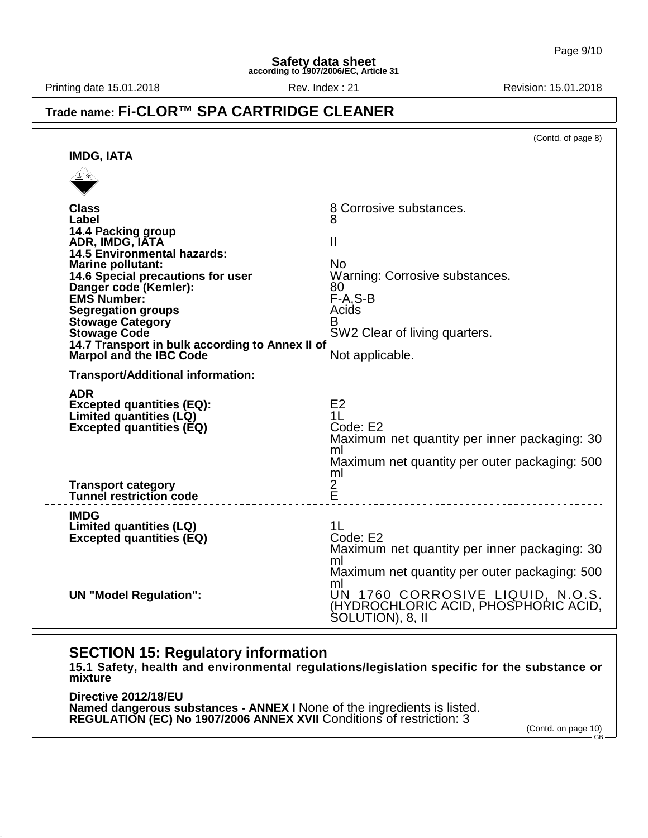Printing date 15.01.2018 **Rev. Index : 21** Rev. Index : 21 Revision: 15.01.2018

## **Trade name: Fi-CLOR™ SPA CARTRIDGE CLEANER**

|                                                                                                                                                                                                                                                                                                                                                                                          | (Contd. of page 8)                                                                                                                                         |
|------------------------------------------------------------------------------------------------------------------------------------------------------------------------------------------------------------------------------------------------------------------------------------------------------------------------------------------------------------------------------------------|------------------------------------------------------------------------------------------------------------------------------------------------------------|
| <b>IMDG, IATA</b>                                                                                                                                                                                                                                                                                                                                                                        |                                                                                                                                                            |
|                                                                                                                                                                                                                                                                                                                                                                                          |                                                                                                                                                            |
| <b>Class</b><br>Label<br>14.4 Packing group<br>ADR, IMDG, IATA<br><b>14.5 Environmental hazards:</b><br><b>Marine pollutant:</b><br>14.6 Special precautions for user<br>Danger code (Kemler):<br><b>EMS Number:</b><br><b>Segregation groups</b><br><b>Stowage Category</b><br><b>Stowage Code</b><br>14.7 Transport in bulk according to Annex II of<br><b>Marpol and the IBC Code</b> | 8 Corrosive substances.<br>Ш<br>No.<br>Warning: Corrosive substances.<br>80<br>$F-A.S-B$<br>Acids<br>В<br>SW2 Clear of living quarters.<br>Not applicable. |
| <b>Transport/Additional information:</b>                                                                                                                                                                                                                                                                                                                                                 |                                                                                                                                                            |
| <b>ADR</b><br><b>Excepted quantities (EQ):</b><br>Limited quantities (LQ)<br><b>Excepted quantities (EQ)</b>                                                                                                                                                                                                                                                                             | E <sub>2</sub><br>1 <sub>L</sub><br>Code: E2<br>Maximum net quantity per inner packaging: 30<br>ml<br>Maximum net quantity per outer packaging: 500<br>ml  |
| <b>Transport category</b><br>Tunnel restriction code                                                                                                                                                                                                                                                                                                                                     | $\frac{2}{E}$<br>___________________________________                                                                                                       |
| <b>IMDG</b><br><b>Limited quantities (LQ)</b><br><b>Excepted quantities (EQ)</b>                                                                                                                                                                                                                                                                                                         | 1L<br>Code: E2<br>Maximum net quantity per inner packaging: 30<br>ml<br>Maximum net quantity per outer packaging: 500                                      |
| <b>UN "Model Regulation":</b>                                                                                                                                                                                                                                                                                                                                                            | ml<br>UN 1760 CORROSIVE LIQUID, N.O.S.<br>(HYDROCHLORIC ACID, PHOSPHORIC ACID,<br>SOLUTION), 8, II                                                         |

## **SECTION 15: Regulatory information**

**15.1 Safety, health and environmental regulations/legislation specific for the substance or mixture**

**Directive 2012/18/EU Named dangerous substances - ANNEX I** None of the ingredients is listed. **REGULATION (EC) No 1907/2006 ANNEX XVII** Conditions of restriction: 3

(Contd. on page 10) GB